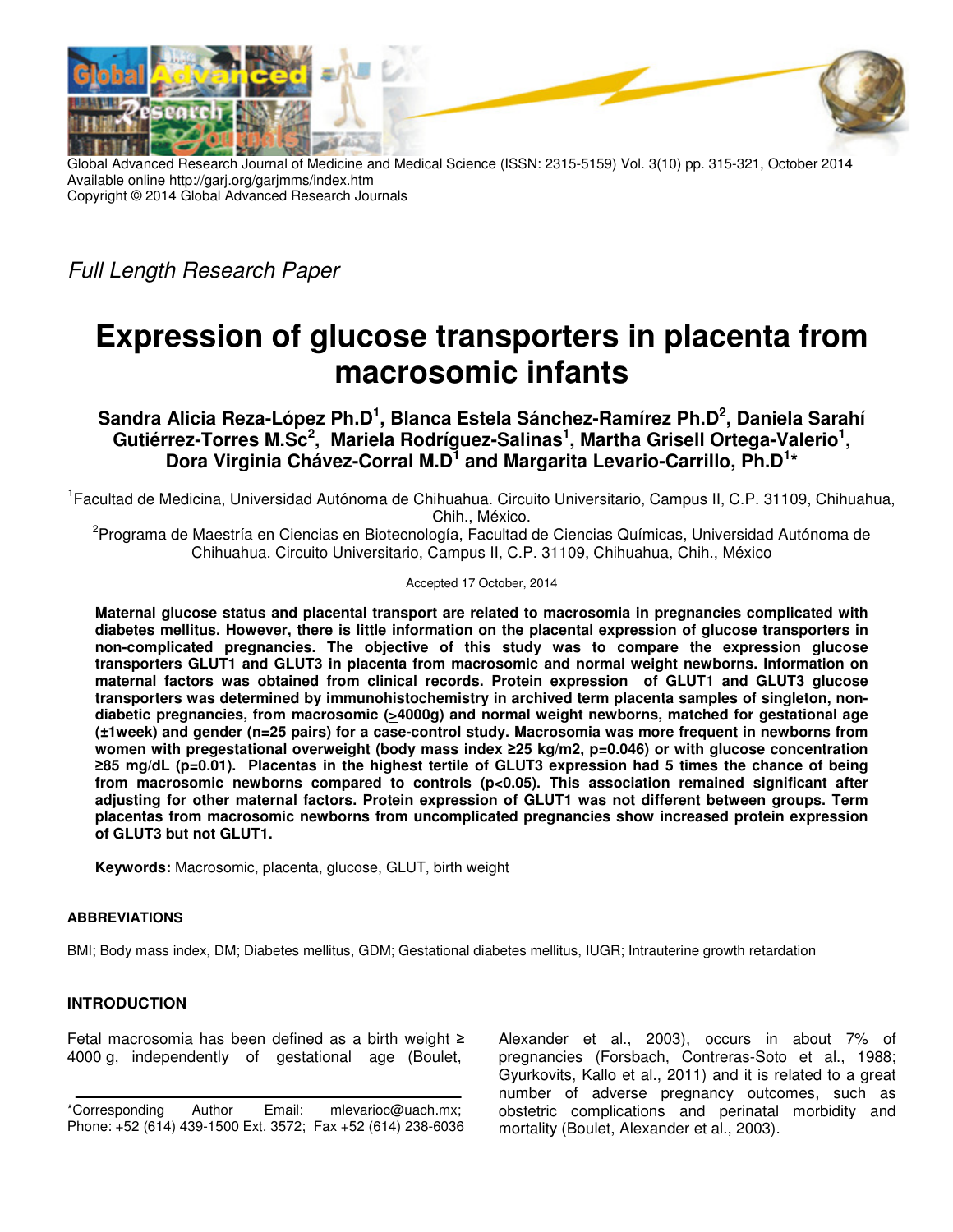

Global Advanced Research Journal of Medicine and Medical Science (ISSN: 2315-5159) Vol. 3(10) pp. 315-321, October 2014 Available online http://garj.org/garjmms/index.htm Copyright © 2014 Global Advanced Research Journals

Full Length Research Paper

# **Expression of glucose transporters in placenta from macrosomic infants**

# **Sandra Alicia Reza-López Ph.D<sup>1</sup> , Blanca Estela Sánchez-Ramírez Ph.D<sup>2</sup> , Daniela Sarahí Gutiérrez-Torres M.Sc<sup>2</sup> , Mariela Rodríguez-Salinas<sup>1</sup> , Martha Grisell Ortega-Valerio<sup>1</sup> , Dora Virginia Chávez-Corral M.D<sup>1</sup> and Margarita Levario-Carrillo, Ph.D<sup>1</sup> \***

1 Facultad de Medicina, Universidad Autónoma de Chihuahua. Circuito Universitario, Campus II, C.P. 31109, Chihuahua, Chih., México.

<sup>2</sup>Programa de Maestría en Ciencias en Biotecnología, Facultad de Ciencias Químicas, Universidad Autónoma de Chihuahua. Circuito Universitario, Campus II, C.P. 31109, Chihuahua, Chih., México

Accepted 17 October, 2014

**Maternal glucose status and placental transport are related to macrosomia in pregnancies complicated with diabetes mellitus. However, there is little information on the placental expression of glucose transporters in non-complicated pregnancies. The objective of this study was to compare the expression glucose transporters GLUT1 and GLUT3 in placenta from macrosomic and normal weight newborns. Information on maternal factors was obtained from clinical records. Protein expression of GLUT1 and GLUT3 glucose transporters was determined by immunohistochemistry in archived term placenta samples of singleton, nondiabetic pregnancies, from macrosomic (>4000g) and normal weight newborns, matched for gestational age (±1week) and gender (n=25 pairs) for a case-control study. Macrosomia was more frequent in newborns from women with pregestational overweight (body mass index ≥25 kg/m2, p=0.046) or with glucose concentration ≥85 mg/dL (p=0.01). Placentas in the highest tertile of GLUT3 expression had 5 times the chance of being from macrosomic newborns compared to controls (p<0.05). This association remained significant after adjusting for other maternal factors. Protein expression of GLUT1 was not different between groups. Term placentas from macrosomic newborns from uncomplicated pregnancies show increased protein expression of GLUT3 but not GLUT1.** 

**Keywords:** Macrosomic, placenta, glucose, GLUT, birth weight

# **ABBREVIATIONS**

BMI; Body mass index, DM; Diabetes mellitus, GDM; Gestational diabetes mellitus, IUGR; Intrauterine growth retardation

# **INTRODUCTION**

Fetal macrosomia has been defined as a birth weight ≥ 4000 g, independently of gestational age (Boulet,

Alexander et al., 2003), occurs in about 7% of pregnancies (Forsbach, Contreras-Soto et al., 1988; Gyurkovits, Kallo et al., 2011) and it is related to a great number of adverse pregnancy outcomes, such as obstetric complications and perinatal morbidity and mortality (Boulet, Alexander et al., 2003).

<sup>\*</sup>Corresponding Author Email: mlevarioc@uach.mx; Phone: +52 (614) 439-1500 Ext. 3572; Fax +52 (614) 238-6036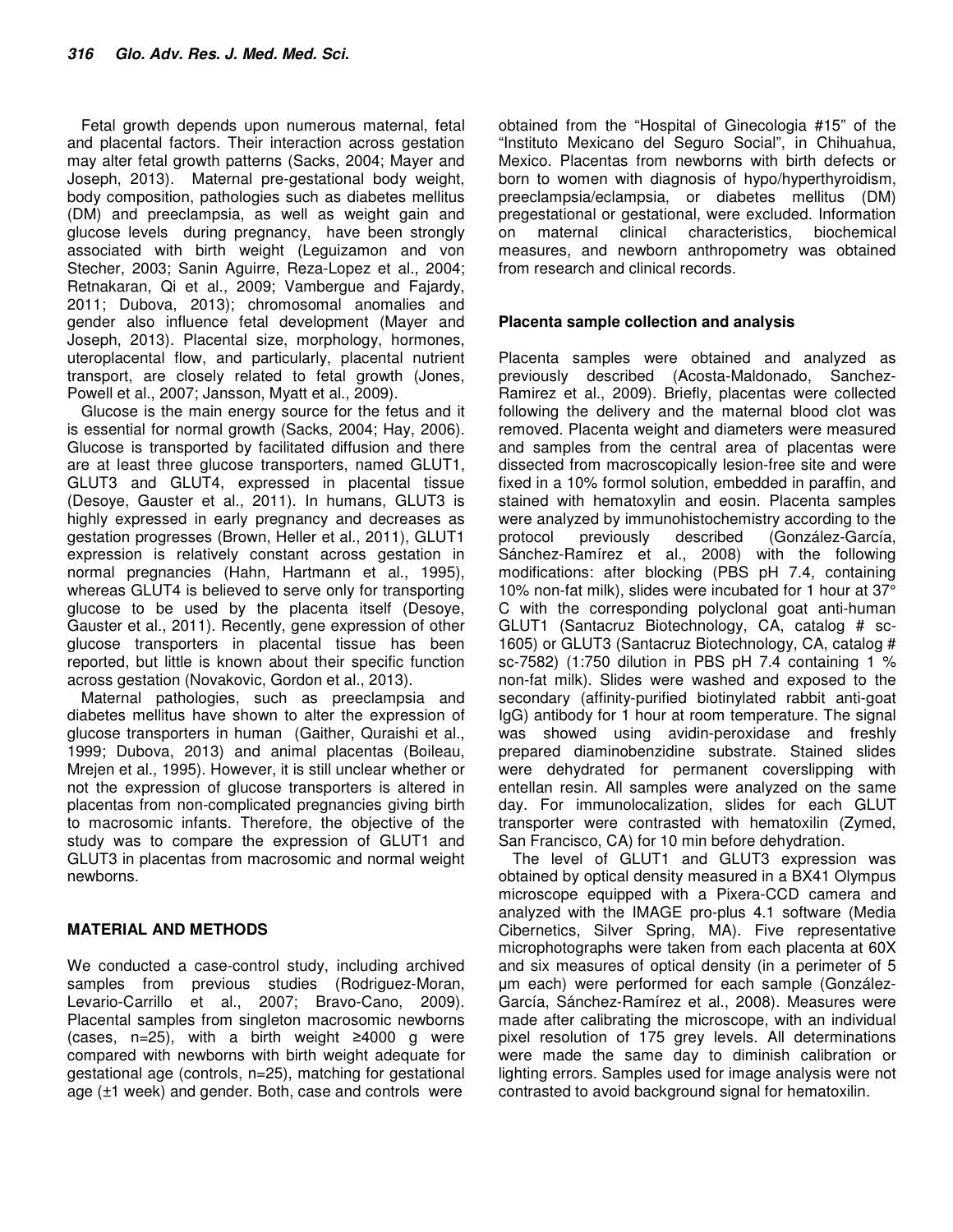Fetal growth depends upon numerous maternal, fetal and placental factors. Their interaction across gestation may alter fetal growth patterns (Sacks, 2004; Mayer and Joseph, 2013). Maternal pre-gestational body weight, body composition, pathologies such as diabetes mellitus (DM) and preeclampsia, as well as weight gain and glucose levels during pregnancy, have been strongly associated with birth weight (Leguizamon and von Stecher, 2003; Sanin Aguirre, Reza-Lopez et al., 2004; Retnakaran, Qi et al., 2009; Vambergue and Fajardy, 2011; Dubova, 2013); chromosomal anomalies and gender also influence fetal development (Mayer and Joseph, 2013). Placental size, morphology, hormones, uteroplacental flow, and particularly, placental nutrient transport, are closely related to fetal growth (Jones, Powell et al., 2007; Jansson, Myatt et al., 2009).

Glucose is the main energy source for the fetus and it is essential for normal growth (Sacks, 2004; Hay, 2006). Glucose is transported by facilitated diffusion and there are at least three glucose transporters, named GLUT1, GLUT3 and GLUT4, expressed in placental tissue (Desoye, Gauster et al., 2011). In humans, GLUT3 is highly expressed in early pregnancy and decreases as gestation progresses (Brown, Heller et al., 2011), GLUT1 expression is relatively constant across gestation in normal pregnancies (Hahn, Hartmann et al., 1995), whereas GLUT4 is believed to serve only for transporting glucose to be used by the placenta itself (Desoye, Gauster et al., 2011). Recently, gene expression of other glucose transporters in placental tissue has been reported, but little is known about their specific function across gestation (Novakovic, Gordon et al., 2013).

Maternal pathologies, such as preeclampsia and diabetes mellitus have shown to alter the expression of glucose transporters in human (Gaither, Quraishi et al., 1999; Dubova, 2013) and animal placentas (Boileau, Mrejen et al., 1995). However, it is still unclear whether or not the expression of glucose transporters is altered in placentas from non-complicated pregnancies giving birth to macrosomic infants. Therefore, the objective of the study was to compare the expression of GLUT1 and GLUT3 in placentas from macrosomic and normal weight newborns.

# **MATERIAL AND METHODS**

We conducted a case-control study, including archived samples from previous studies (Rodriguez-Moran, Levario-Carrillo et al., 2007; Bravo-Cano, 2009). Placental samples from singleton macrosomic newborns (cases, n=25), with a birth weight ≥4000 g were compared with newborns with birth weight adequate for gestational age (controls, n=25), matching for gestational age (±1 week) and gender. Both, case and controls were obtained from the "Hospital of Ginecologia #15" of the "Instituto Mexicano del Seguro Social", in Chihuahua, Mexico. Placentas from newborns with birth defects or born to women with diagnosis of hypo/hyperthyroidism, preeclampsia/eclampsia, or diabetes mellitus (DM) pregestational or gestational, were excluded. Information on maternal clinical characteristics, biochemical measures, and newborn anthropometry was obtained from research and clinical records.

# **Placenta sample collection and analysis**

Placenta samples were obtained and analyzed as previously described (Acosta-Maldonado, Sanchez-Ramirez et al., 2009). Briefly, placentas were collected following the delivery and the maternal blood clot was removed. Placenta weight and diameters were measured and samples from the central area of placentas were dissected from macroscopically lesion-free site and were fixed in a 10% formol solution, embedded in paraffin, and stained with hematoxylin and eosin. Placenta samples were analyzed by immunohistochemistry according to the protocol previously described (González-García, Sánchez-Ramírez et al., 2008) with the following modifications: after blocking (PBS pH 7.4, containing 10% non-fat milk), slides were incubated for 1 hour at 37° C with the corresponding polyclonal goat anti-human GLUT1 (Santacruz Biotechnology, CA, catalog # sc-1605) or GLUT3 (Santacruz Biotechnology, CA, catalog # sc-7582) (1:750 dilution in PBS pH 7.4 containing 1 % non-fat milk). Slides were washed and exposed to the secondary (affinity-purified biotinylated rabbit anti-goat IgG) antibody for 1 hour at room temperature. The signal was showed using avidin-peroxidase and freshly prepared diaminobenzidine substrate. Stained slides were dehydrated for permanent coverslipping with entellan resin. All samples were analyzed on the same day. For immunolocalization, slides for each GLUT transporter were contrasted with hematoxilin (Zymed, San Francisco, CA) for 10 min before dehydration.

The level of GLUT1 and GLUT3 expression was obtained by optical density measured in a BX41 Olympus microscope equipped with a Pixera-CCD camera and analyzed with the IMAGE pro-plus 4.1 software (Media Cibernetics, Silver Spring, MA). Five representative microphotographs were taken from each placenta at 60X and six measures of optical density (in a perimeter of 5 µm each) were performed for each sample (González-García, Sánchez-Ramírez et al., 2008). Measures were made after calibrating the microscope, with an individual pixel resolution of 175 grey levels. All determinations were made the same day to diminish calibration or lighting errors. Samples used for image analysis were not contrasted to avoid background signal for hematoxilin.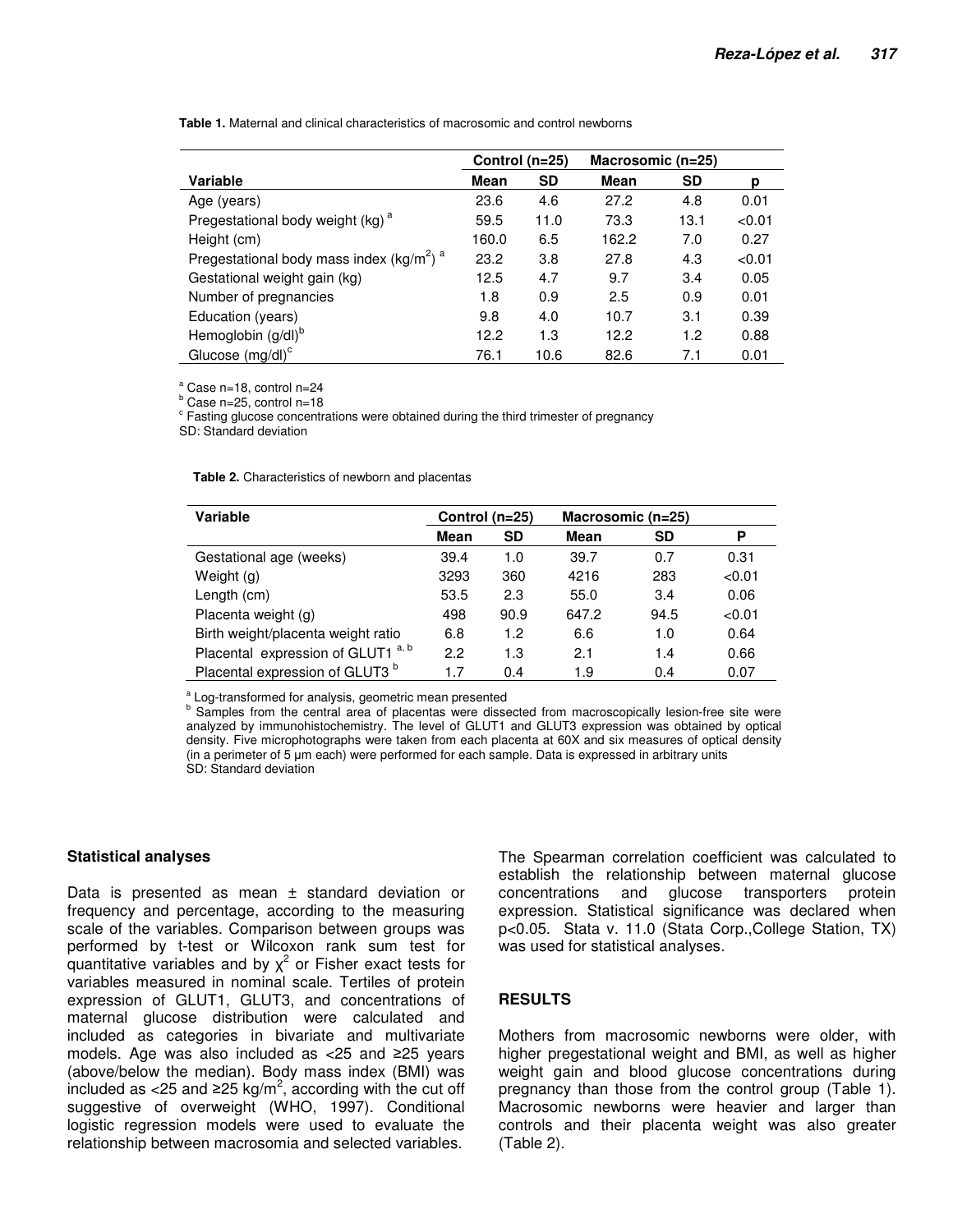**Table 1.** Maternal and clinical characteristics of macrosomic and control newborns

|                                                                  | Control (n=25) |           | Macrosomic $(n=25)$ |           |        |
|------------------------------------------------------------------|----------------|-----------|---------------------|-----------|--------|
| Variable                                                         | Mean           | <b>SD</b> | Mean                | <b>SD</b> | p      |
| Age (years)                                                      | 23.6           | 4.6       | 27.2                | 4.8       | 0.01   |
| Pregestational body weight (kg) <sup>a</sup>                     | 59.5           | 11.0      | 73.3                | 13.1      | < 0.01 |
| Height (cm)                                                      | 160.0          | 6.5       | 162.2               | 7.0       | 0.27   |
| Pregestational body mass index (kg/m <sup>2</sup> ) <sup>a</sup> | 23.2           | 3.8       | 27.8                | 4.3       | < 0.01 |
| Gestational weight gain (kg)                                     | 12.5           | 4.7       | 9.7                 | 3.4       | 0.05   |
| Number of pregnancies                                            | 1.8            | 0.9       | 2.5                 | 0.9       | 0.01   |
| Education (years)                                                | 9.8            | 4.0       | 10.7                | 3.1       | 0.39   |
| Hemoglobin (g/dl) <sup>b</sup>                                   | 12.2           | 1.3       | 12.2                | 1.2       | 0.88   |
| Glucose $(mg/dl)^c$                                              | 76.1           | 10.6      | 82.6                | 7.1       | 0.01   |

a Case n=18, control n=24

<sup>b</sup> Case n=25, control n=18

<sup>c</sup> Fasting glucose concentrations were obtained during the third trimester of pregnancy

SD: Standard deviation

**Table 2.** Characteristics of newborn and placentas

| Variable                                      | Control (n=25) |           | Macrosomic $(n=25)$ |           |        |
|-----------------------------------------------|----------------|-----------|---------------------|-----------|--------|
|                                               | Mean           | <b>SD</b> | Mean                | <b>SD</b> | Ρ      |
| Gestational age (weeks)                       | 39.4           | 1.0       | 39.7                | 0.7       | 0.31   |
| Weight (g)                                    | 3293           | 360       | 4216                | 283       | < 0.01 |
| Length (cm)                                   | 53.5           | 2.3       | 55.0                | 3.4       | 0.06   |
| Placenta weight (g)                           | 498            | 90.9      | 647.2               | 94.5      | < 0.01 |
| Birth weight/placenta weight ratio            | 6.8            | 1.2       | 6.6                 | 1.0       | 0.64   |
| Placental expression of GLUT1 <sup>a, b</sup> | 2.2            | 1.3       | 2.1                 | 1.4       | 0.66   |
| Placental expression of GLUT3 <sup>b</sup>    | 1.7            | 0.4       | 1.9                 | 0.4       | 0.07   |

a Log-transformed for analysis, geometric mean presented

<sup>b</sup> Samples from the central area of placentas were dissected from macroscopically lesion-free site were analyzed by immunohistochemistry. The level of GLUT1 and GLUT3 expression was obtained by optical density. Five microphotographs were taken from each placenta at 60X and six measures of optical density (in a perimeter of 5 µm each) were performed for each sample. Data is expressed in arbitrary units SD: Standard deviation

#### **Statistical analyses**

Data is presented as mean  $\pm$  standard deviation or frequency and percentage, according to the measuring scale of the variables. Comparison between groups was performed by t-test or Wilcoxon rank sum test for quantitative variables and by  $\chi^2$  or Fisher exact tests for variables measured in nominal scale. Tertiles of protein expression of GLUT1, GLUT3, and concentrations of maternal glucose distribution were calculated and included as categories in bivariate and multivariate models. Age was also included as <25 and ≥25 years (above/below the median). Body mass index (BMI) was included as <25 and ≥25 kg/m<sup>2</sup>, according with the cut off suggestive of overweight (WHO, 1997). Conditional logistic regression models were used to evaluate the relationship between macrosomia and selected variables.

The Spearman correlation coefficient was calculated to establish the relationship between maternal glucose concentrations and glucose transporters protein expression. Statistical significance was declared when p<0.05. Stata v. 11.0 (Stata Corp.,College Station, TX) was used for statistical analyses.

### **RESULTS**

Mothers from macrosomic newborns were older, with higher pregestational weight and BMI, as well as higher weight gain and blood glucose concentrations during pregnancy than those from the control group (Table 1). Macrosomic newborns were heavier and larger than controls and their placenta weight was also greater (Table 2).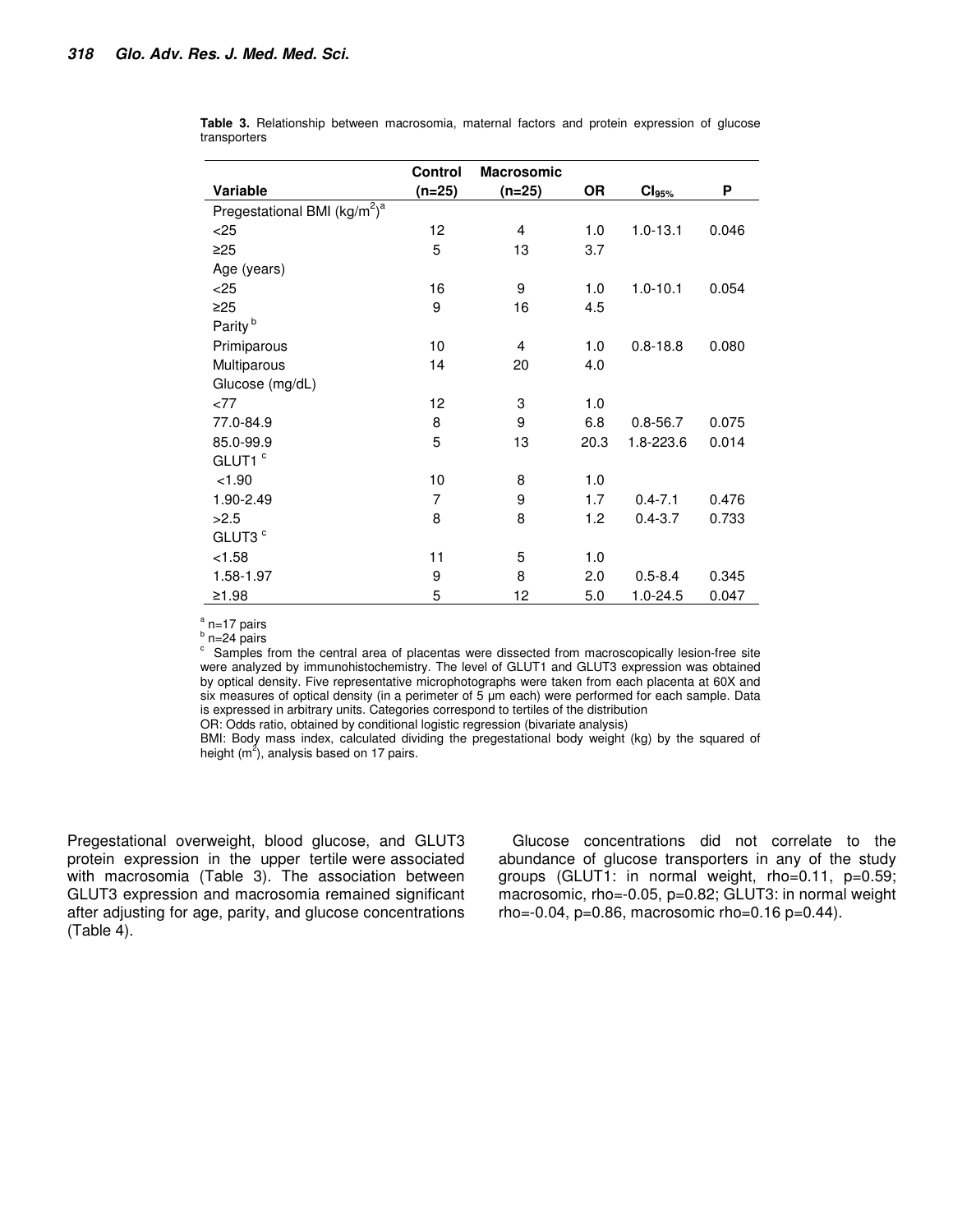|                                                      | <b>Control</b> | <b>Macrosomic</b> |           |                   |       |
|------------------------------------------------------|----------------|-------------------|-----------|-------------------|-------|
| Variable                                             | (n=25)         | $(n=25)$          | <b>OR</b> | Cl <sub>95%</sub> | P     |
| Pregestational BMI (kg/m <sup>2</sup> ) <sup>a</sup> |                |                   |           |                   |       |
| $<$ 25                                               | 12             | 4                 | 1.0       | $1.0 - 13.1$      | 0.046 |
| $\geq$ 25                                            | 5              | 13                | 3.7       |                   |       |
| Age (years)                                          |                |                   |           |                   |       |
| < 25                                                 | 16             | 9                 | 1.0       | $1.0 - 10.1$      | 0.054 |
| $\geq$ 25                                            | 9              | 16                | 4.5       |                   |       |
| Parity <sup>b</sup>                                  |                |                   |           |                   |       |
| Primiparous                                          | 10             | 4                 | 1.0       | $0.8 - 18.8$      | 0.080 |
| Multiparous                                          | 14             | 20                | 4.0       |                   |       |
| Glucose (mg/dL)                                      |                |                   |           |                   |       |
| < 77                                                 | 12             | 3                 | 1.0       |                   |       |
| 77.0-84.9                                            | 8              | 9                 | 6.8       | $0.8 - 56.7$      | 0.075 |
| 85.0-99.9                                            | 5              | 13                | 20.3      | 1.8-223.6         | 0.014 |
| GLUT1 <sup>c</sup>                                   |                |                   |           |                   |       |
| < 1.90                                               | 10             | 8                 | 1.0       |                   |       |
| 1.90-2.49                                            | 7              | 9                 | 1.7       | $0.4 - 7.1$       | 0.476 |
| >2.5                                                 | 8              | 8                 | 1.2       | $0.4 - 3.7$       | 0.733 |
| GLUT3 <sup>c</sup>                                   |                |                   |           |                   |       |
| < 1.58                                               | 11             | 5                 | 1.0       |                   |       |
| 1.58-1.97                                            | 9              | 8                 | 2.0       | $0.5 - 8.4$       | 0.345 |
| ≥1.98                                                | 5              | 12                | 5.0       | $1.0 - 24.5$      | 0.047 |

**Table 3.** Relationship between macrosomia, maternal factors and protein expression of glucose transporters

<sup>a</sup> n=17 pairs

 $b$  n=24 pairs

 $\degree$  Samples from the central area of placentas were dissected from macroscopically lesion-free site were analyzed by immunohistochemistry. The level of GLUT1 and GLUT3 expression was obtained by optical density. Five representative microphotographs were taken from each placenta at 60X and six measures of optical density (in a perimeter of 5  $\mu$ m each) were performed for each sample. Data is expressed in arbitrary units. Categories correspond to tertiles of the distribution

OR: Odds ratio, obtained by conditional logistic regression (bivariate analysis)

BMI: Body mass index, calculated dividing the pregestational body weight (kg) by the squared of height (m<sup>2</sup>), analysis based on 17 pairs.

Pregestational overweight, blood glucose, and GLUT3 protein expression in the upper tertile were associated with macrosomia (Table 3). The association between GLUT3 expression and macrosomia remained significant after adjusting for age, parity, and glucose concentrations (Table 4).

Glucose concentrations did not correlate to the abundance of glucose transporters in any of the study groups (GLUT1: in normal weight, rho=0.11, p=0.59; macrosomic, rho=-0.05, p=0.82; GLUT3: in normal weight rho= $-0.04$ , p= $0.86$ , macrosomic rho= $0.16$  p= $0.44$ ).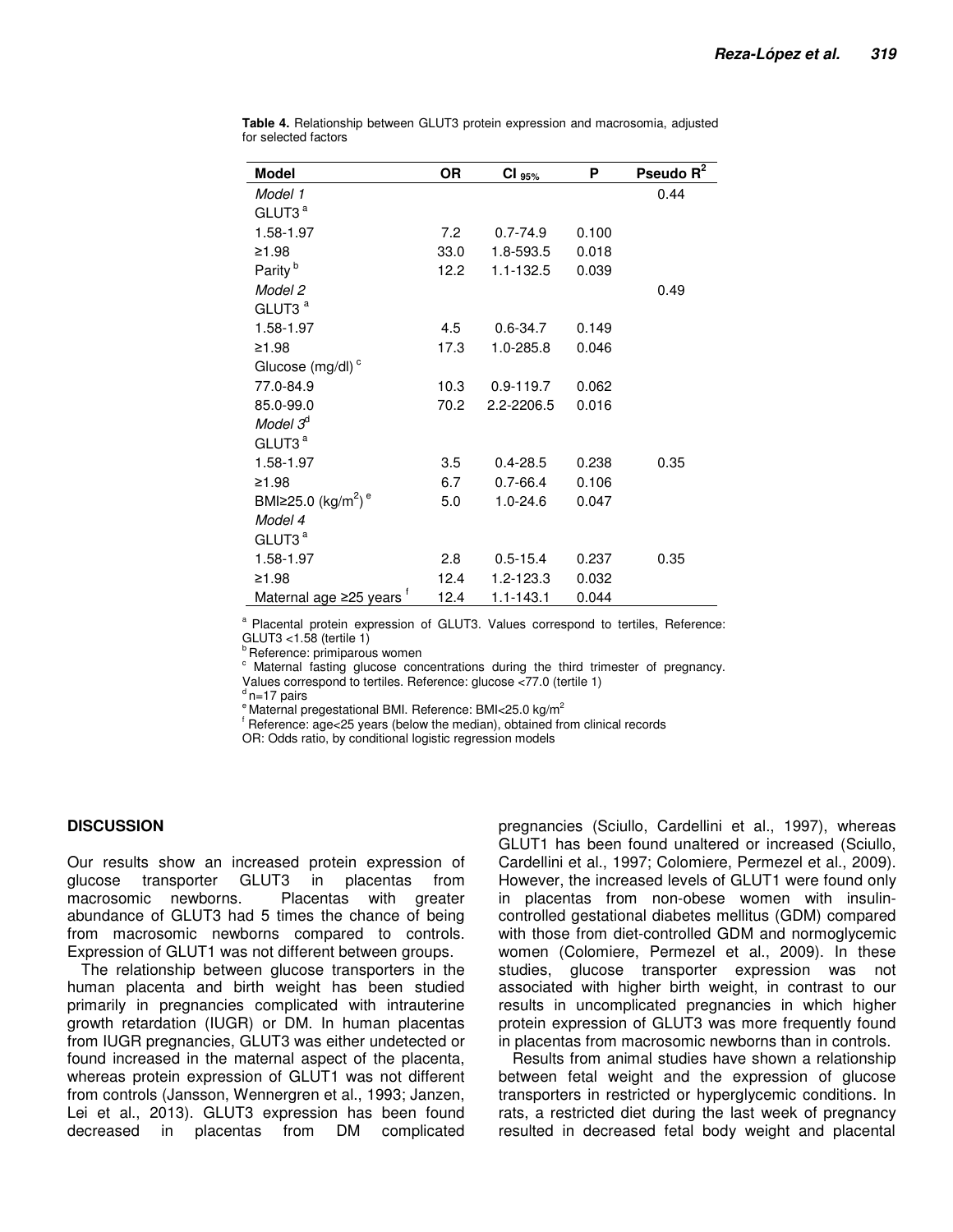| Model                                      | ΟR   | $CI_{95\%}$   | P     | Pseudo $R^2$ |
|--------------------------------------------|------|---------------|-------|--------------|
| Model 1                                    |      |               |       | 0.44         |
| GLUT3 <sup>a</sup>                         |      |               |       |              |
| 1.58-1.97                                  | 7.2  | $0.7 - 74.9$  | 0.100 |              |
| ≥1.98                                      | 33.0 | 1.8-593.5     | 0.018 |              |
| Parity <sup>b</sup>                        | 12.2 | $1.1 - 132.5$ | 0.039 |              |
| Model 2                                    |      |               |       | 0.49         |
| GLUT3 <sup>a</sup>                         |      |               |       |              |
| 1.58-1.97                                  | 4.5  | $0.6 - 34.7$  | 0.149 |              |
| ≥1.98                                      | 17.3 | 1.0-285.8     | 0.046 |              |
| Glucose (mg/dl) <sup>c</sup>               |      |               |       |              |
| 77.0-84.9                                  | 10.3 | $0.9 - 119.7$ | 0.062 |              |
| 85.0-99.0                                  | 70.2 | 2.2-2206.5    | 0.016 |              |
| Model $3d$                                 |      |               |       |              |
| GLUT3 <sup>a</sup>                         |      |               |       |              |
| 1.58-1.97                                  | 3.5  | $0.4 - 28.5$  | 0.238 | 0.35         |
| ≥1.98                                      | 6.7  | $0.7 - 66.4$  | 0.106 |              |
| BMI≥25.0 (kg/m <sup>2</sup> ) <sup>e</sup> | 5.0  | $1.0 - 24.6$  | 0.047 |              |
| Model 4                                    |      |               |       |              |
| GLUT3 <sup>a</sup>                         |      |               |       |              |
| 1.58-1.97                                  | 2.8  | $0.5 - 15.4$  | 0.237 | 0.35         |
| ≥1.98                                      | 12.4 | 1.2-123.3     | 0.032 |              |
| Maternal age ≥25 years                     | 12.4 | $1.1 - 143.1$ | 0.044 |              |

**Table 4.** Relationship between GLUT3 protein expression and macrosomia, adjusted for selected factors

<sup>a</sup> Placental protein expression of GLUT3. Values correspond to tertiles, Reference: GLUT3 <1.58 (tertile 1)

**b** Reference: primiparous women

c Maternal fasting glucose concentrations during the third trimester of pregnancy.

Values correspond to tertiles. Reference: glucose <77.0 (tertile 1)

 $d$ n=17 pairs

 $e^e$ Maternal pregestational BMI. Reference: BMI<25.0 kg/m<sup>2</sup>

f Reference: age<25 years (below the median), obtained from clinical records

OR: Odds ratio, by conditional logistic regression models

# **DISCUSSION**

Our results show an increased protein expression of glucose transporter GLUT3 in placentas from macrosomic newborns. Placentas with greater abundance of GLUT3 had 5 times the chance of being from macrosomic newborns compared to controls. Expression of GLUT1 was not different between groups.

The relationship between glucose transporters in the human placenta and birth weight has been studied primarily in pregnancies complicated with intrauterine growth retardation (IUGR) or DM. In human placentas from IUGR pregnancies, GLUT3 was either undetected or found increased in the maternal aspect of the placenta, whereas protein expression of GLUT1 was not different from controls (Jansson, Wennergren et al., 1993; Janzen, Lei et al., 2013). GLUT3 expression has been found decreased in placentas from DM complicated

pregnancies (Sciullo, Cardellini et al., 1997), whereas GLUT1 has been found unaltered or increased (Sciullo, Cardellini et al., 1997; Colomiere, Permezel et al., 2009). However, the increased levels of GLUT1 were found only in placentas from non-obese women with insulincontrolled gestational diabetes mellitus (GDM) compared with those from diet-controlled GDM and normoglycemic women (Colomiere, Permezel et al., 2009). In these studies, glucose transporter expression was not associated with higher birth weight, in contrast to our results in uncomplicated pregnancies in which higher protein expression of GLUT3 was more frequently found in placentas from macrosomic newborns than in controls.

Results from animal studies have shown a relationship between fetal weight and the expression of glucose transporters in restricted or hyperglycemic conditions. In rats, a restricted diet during the last week of pregnancy resulted in decreased fetal body weight and placental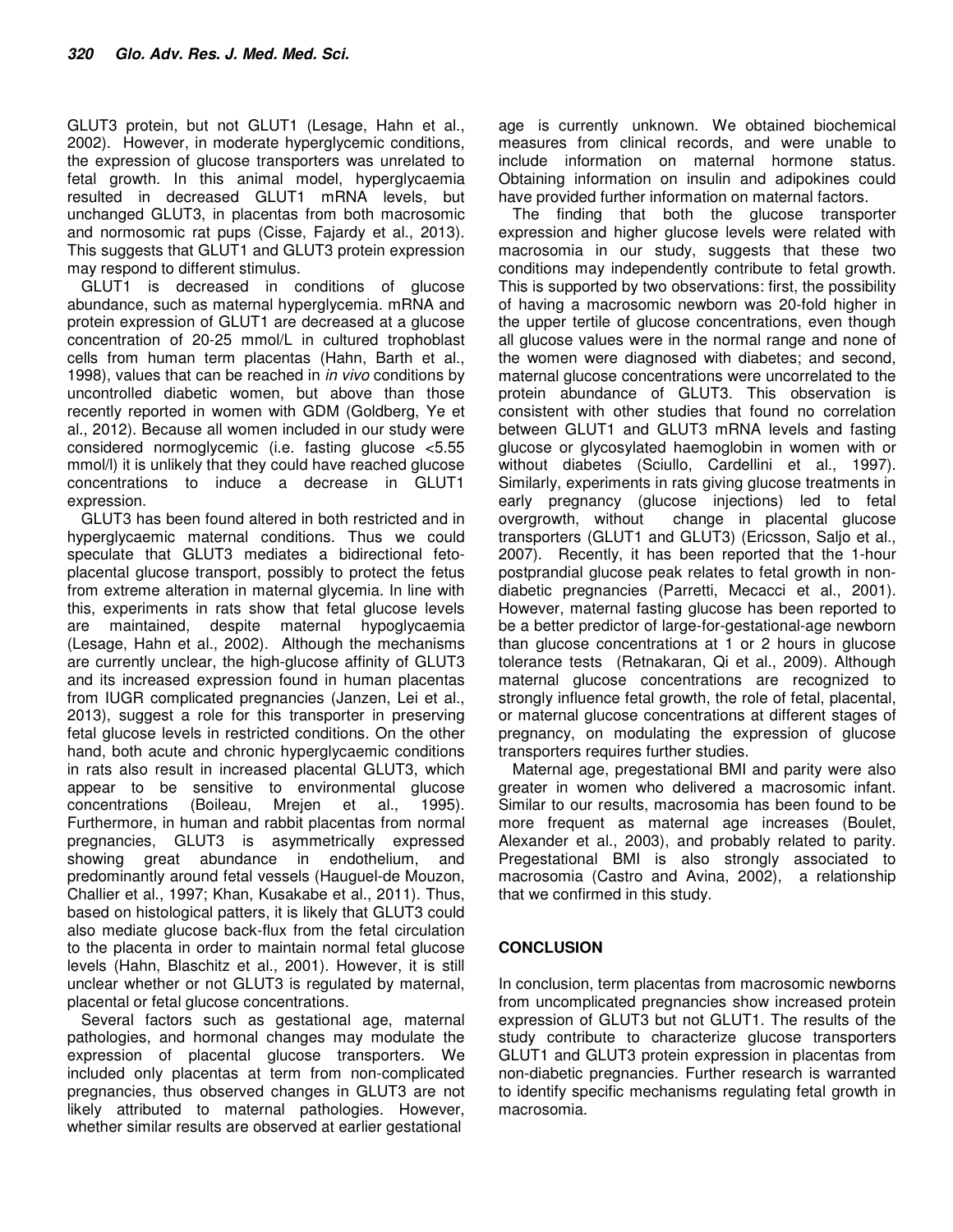GLUT3 protein, but not GLUT1 (Lesage, Hahn et al., 2002). However, in moderate hyperglycemic conditions, the expression of glucose transporters was unrelated to fetal growth. In this animal model, hyperglycaemia resulted in decreased GLUT1 mRNA levels, but unchanged GLUT3, in placentas from both macrosomic and normosomic rat pups (Cisse, Fajardy et al., 2013). This suggests that GLUT1 and GLUT3 protein expression may respond to different stimulus.

GLUT1 is decreased in conditions of glucose abundance, such as maternal hyperglycemia. mRNA and protein expression of GLUT1 are decreased at a glucose concentration of 20-25 mmol/L in cultured trophoblast cells from human term placentas (Hahn, Barth et al., 1998), values that can be reached in *in vivo* conditions by uncontrolled diabetic women, but above than those recently reported in women with GDM (Goldberg, Ye et al., 2012). Because all women included in our study were considered normoglycemic (i.e. fasting glucose <5.55 mmol/l) it is unlikely that they could have reached glucose concentrations to induce a decrease in GLUT1 expression.

GLUT3 has been found altered in both restricted and in hyperglycaemic maternal conditions. Thus we could speculate that GLUT3 mediates a bidirectional fetoplacental glucose transport, possibly to protect the fetus from extreme alteration in maternal glycemia. In line with this, experiments in rats show that fetal glucose levels are maintained, despite maternal hypoglycaemia (Lesage, Hahn et al., 2002). Although the mechanisms are currently unclear, the high-glucose affinity of GLUT3 and its increased expression found in human placentas from IUGR complicated pregnancies (Janzen, Lei et al., 2013), suggest a role for this transporter in preserving fetal glucose levels in restricted conditions. On the other hand, both acute and chronic hyperglycaemic conditions in rats also result in increased placental GLUT3, which appear to be sensitive to environmental glucose concentrations (Boileau, Mrejen et al., 1995). Furthermore, in human and rabbit placentas from normal pregnancies, GLUT3 is asymmetrically expressed showing great abundance in endothelium, and predominantly around fetal vessels (Hauguel-de Mouzon, Challier et al., 1997; Khan, Kusakabe et al., 2011). Thus, based on histological patters, it is likely that GLUT3 could also mediate glucose back-flux from the fetal circulation to the placenta in order to maintain normal fetal glucose levels (Hahn, Blaschitz et al., 2001). However, it is still unclear whether or not GLUT3 is regulated by maternal, placental or fetal glucose concentrations.

Several factors such as gestational age, maternal pathologies, and hormonal changes may modulate the expression of placental glucose transporters. We included only placentas at term from non-complicated pregnancies, thus observed changes in GLUT3 are not likely attributed to maternal pathologies. However, whether similar results are observed at earlier gestational

age is currently unknown. We obtained biochemical measures from clinical records, and were unable to include information on maternal hormone status. Obtaining information on insulin and adipokines could have provided further information on maternal factors.

The finding that both the glucose transporter expression and higher glucose levels were related with macrosomia in our study, suggests that these two conditions may independently contribute to fetal growth. This is supported by two observations: first, the possibility of having a macrosomic newborn was 20-fold higher in the upper tertile of glucose concentrations, even though all glucose values were in the normal range and none of the women were diagnosed with diabetes; and second, maternal glucose concentrations were uncorrelated to the protein abundance of GLUT3. This observation is consistent with other studies that found no correlation between GLUT1 and GLUT3 mRNA levels and fasting glucose or glycosylated haemoglobin in women with or without diabetes (Sciullo, Cardellini et al., 1997). Similarly, experiments in rats giving glucose treatments in early pregnancy (glucose injections) led to fetal overgrowth, without change in placental glucose transporters (GLUT1 and GLUT3) (Ericsson, Saljo et al., 2007). Recently, it has been reported that the 1-hour postprandial glucose peak relates to fetal growth in nondiabetic pregnancies (Parretti, Mecacci et al., 2001). However, maternal fasting glucose has been reported to be a better predictor of large-for-gestational-age newborn than glucose concentrations at 1 or 2 hours in glucose tolerance tests (Retnakaran, Qi et al., 2009). Although maternal glucose concentrations are recognized to strongly influence fetal growth, the role of fetal, placental, or maternal glucose concentrations at different stages of pregnancy, on modulating the expression of glucose transporters requires further studies.

Maternal age, pregestational BMI and parity were also greater in women who delivered a macrosomic infant. Similar to our results, macrosomia has been found to be more frequent as maternal age increases (Boulet, Alexander et al., 2003), and probably related to parity. Pregestational BMI is also strongly associated to macrosomia (Castro and Avina, 2002), a relationship that we confirmed in this study.

# **CONCLUSION**

In conclusion, term placentas from macrosomic newborns from uncomplicated pregnancies show increased protein expression of GLUT3 but not GLUT1. The results of the study contribute to characterize glucose transporters GLUT1 and GLUT3 protein expression in placentas from non-diabetic pregnancies. Further research is warranted to identify specific mechanisms regulating fetal growth in macrosomia.